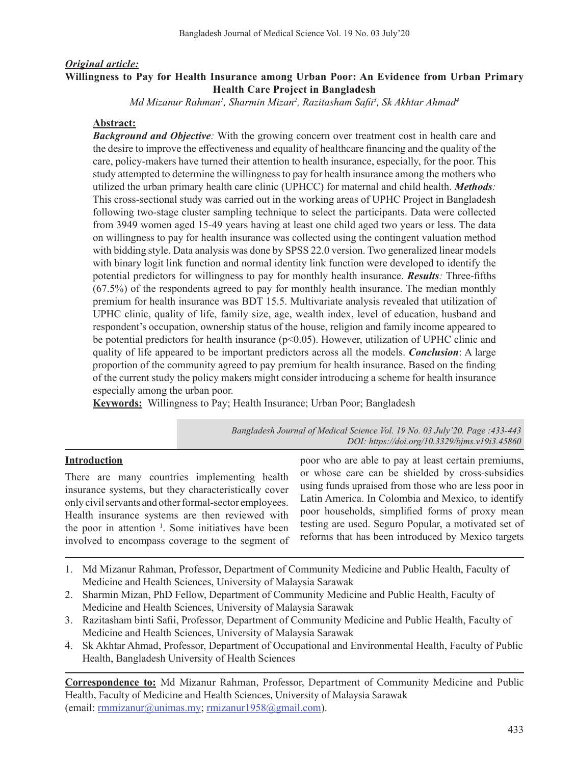### *Original article:* **Willingness to Pay for Health Insurance among Urban Poor: An Evidence from Urban Primary Health Care Project in Bangladesh**

*Md Mizanur Rahman1 , Sharmin Mizan2 , Razitasham Safii<sup>3</sup> , Sk Akhtar Ahmad4*

### **Abstract:**

*Background and Objective:* With the growing concern over treatment cost in health care and the desire to improve the effectiveness and equality of healthcare financing and the quality of the care, policy-makers have turned their attention to health insurance, especially, for the poor. This study attempted to determine the willingness to pay for health insurance among the mothers who utilized the urban primary health care clinic (UPHCC) for maternal and child health. *Methods:* This cross-sectional study was carried out in the working areas of UPHC Project in Bangladesh following two-stage cluster sampling technique to select the participants. Data were collected from 3949 women aged 15-49 years having at least one child aged two years or less. The data on willingness to pay for health insurance was collected using the contingent valuation method with bidding style. Data analysis was done by SPSS 22.0 version. Two generalized linear models with binary logit link function and normal identity link function were developed to identify the potential predictors for willingness to pay for monthly health insurance. *Results:* Three-fifths (67.5%) of the respondents agreed to pay for monthly health insurance. The median monthly premium for health insurance was BDT 15.5. Multivariate analysis revealed that utilization of UPHC clinic, quality of life, family size, age, wealth index, level of education, husband and respondent's occupation, ownership status of the house, religion and family income appeared to be potential predictors for health insurance (p<0.05). However, utilization of UPHC clinic and quality of life appeared to be important predictors across all the models. *Conclusion*: A large proportion of the community agreed to pay premium for health insurance. Based on the finding of the current study the policy makers might consider introducing a scheme for health insurance especially among the urban poor.

**Keywords:** Willingness to Pay; Health Insurance; Urban Poor; Bangladesh

*Bangladesh Journal of Medical Science Vol. 19 No. 03 July'20. Page :433-443 DOI: https://doi.org/10.3329/bjms.v19i3.45860*

# **Introduction**

There are many countries implementing health insurance systems, but they characteristically cover only civil servants and other formal-sector employees. Health insurance systems are then reviewed with the poor in attention <sup>1</sup>. Some initiatives have been involved to encompass coverage to the segment of

poor who are able to pay at least certain premiums, or whose care can be shielded by cross-subsidies using funds upraised from those who are less poor in Latin America. In Colombia and Mexico, to identify poor households, simplified forms of proxy mean testing are used. Seguro Popular, a motivated set of reforms that has been introduced by Mexico targets

- 1. Md Mizanur Rahman, Professor, Department of Community Medicine and Public Health, Faculty of Medicine and Health Sciences, University of Malaysia Sarawak
- 2. Sharmin Mizan, PhD Fellow, Department of Community Medicine and Public Health, Faculty of Medicine and Health Sciences, University of Malaysia Sarawak
- 3. Razitasham binti Safii, Professor, Department of Community Medicine and Public Health, Faculty of Medicine and Health Sciences, University of Malaysia Sarawak
- 4. Sk Akhtar Ahmad, Professor, Department of Occupational and Environmental Health, Faculty of Public Health, Bangladesh University of Health Sciences

**Correspondence to:** Md Mizanur Rahman, Professor, Department of Community Medicine and Public Health, Faculty of Medicine and Health Sciences, University of Malaysia Sarawak (email: rmmizanur@unimas.my; rmizanur1958@gmail.com).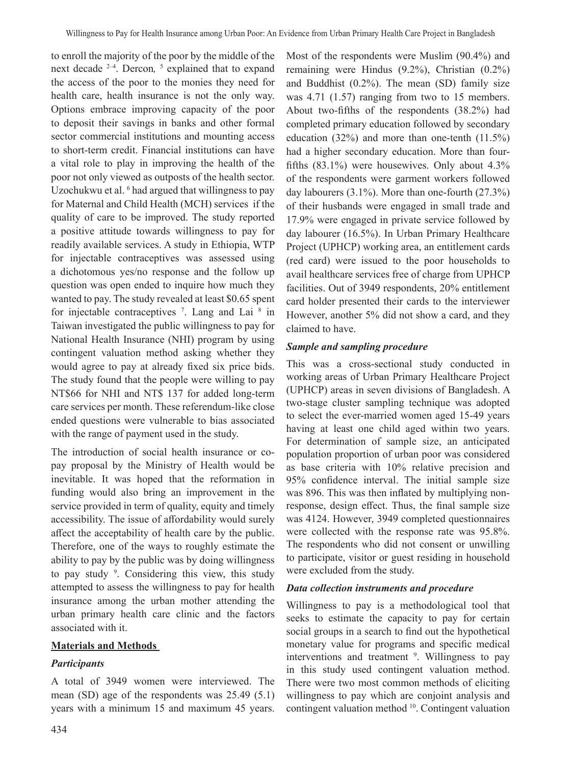to enroll the majority of the poor by the middle of the next decade 2–4. Dercon*,* <sup>5</sup> explained that to expand the access of the poor to the monies they need for health care, health insurance is not the only way. Options embrace improving capacity of the poor to deposit their savings in banks and other formal sector commercial institutions and mounting access to short-term credit. Financial institutions can have a vital role to play in improving the health of the poor not only viewed as outposts of the health sector. Uzochukwu et al. <sup>6</sup> had argued that willingness to pay for Maternal and Child Health (MCH) services if the quality of care to be improved. The study reported a positive attitude towards willingness to pay for readily available services. A study in Ethiopia, WTP for injectable contraceptives was assessed using a dichotomous yes/no response and the follow up question was open ended to inquire how much they wanted to pay. The study revealed at least \$0.65 spent for injectable contraceptives  $\frac{7}{1}$ . Lang and Lai  $\frac{8}{1}$  in Taiwan investigated the public willingness to pay for National Health Insurance (NHI) program by using contingent valuation method asking whether they would agree to pay at already fixed six price bids. The study found that the people were willing to pay NT\$66 for NHI and NT\$ 137 for added long-term care services per month. These referendum-like close ended questions were vulnerable to bias associated with the range of payment used in the study.

The introduction of social health insurance or copay proposal by the Ministry of Health would be inevitable. It was hoped that the reformation in funding would also bring an improvement in the service provided in term of quality, equity and timely accessibility. The issue of affordability would surely affect the acceptability of health care by the public. Therefore, one of the ways to roughly estimate the ability to pay by the public was by doing willingness to pay study <sup>9</sup>. Considering this view, this study attempted to assess the willingness to pay for health insurance among the urban mother attending the urban primary health care clinic and the factors associated with it.

# **Materials and Methods**

# *Participants*

A total of 3949 women were interviewed. The mean (SD) age of the respondents was 25.49 (5.1) years with a minimum 15 and maximum 45 years.

Most of the respondents were Muslim (90.4%) and remaining were Hindus (9.2%), Christian (0.2%) and Buddhist (0.2%). The mean (SD) family size was 4.71 (1.57) ranging from two to 15 members. About two-fifths of the respondents (38.2%) had completed primary education followed by secondary education (32%) and more than one-tenth (11.5%) had a higher secondary education. More than fourfifths (83.1%) were housewives. Only about 4.3% of the respondents were garment workers followed day labourers (3.1%). More than one-fourth (27.3%) of their husbands were engaged in small trade and 17.9% were engaged in private service followed by day labourer (16.5%). In Urban Primary Healthcare Project (UPHCP) working area, an entitlement cards (red card) were issued to the poor households to avail healthcare services free of charge from UPHCP facilities. Out of 3949 respondents, 20% entitlement card holder presented their cards to the interviewer However, another 5% did not show a card, and they claimed to have.

## *Sample and sampling procedure*

This was a cross-sectional study conducted in working areas of Urban Primary Healthcare Project (UPHCP) areas in seven divisions of Bangladesh. A two-stage cluster sampling technique was adopted to select the ever-married women aged 15-49 years having at least one child aged within two years. For determination of sample size, an anticipated population proportion of urban poor was considered as base criteria with 10% relative precision and 95% confidence interval. The initial sample size was 896. This was then inflated by multiplying nonresponse, design effect. Thus, the final sample size was 4124. However, 3949 completed questionnaires were collected with the response rate was 95.8%. The respondents who did not consent or unwilling to participate, visitor or guest residing in household were excluded from the study.

### *Data collection instruments and procedure*

Willingness to pay is a methodological tool that seeks to estimate the capacity to pay for certain social groups in a search to find out the hypothetical monetary value for programs and specific medical interventions and treatment <sup>9</sup>. Willingness to pay in this study used contingent valuation method. There were two most common methods of eliciting willingness to pay which are conjoint analysis and contingent valuation method <sup>10</sup>. Contingent valuation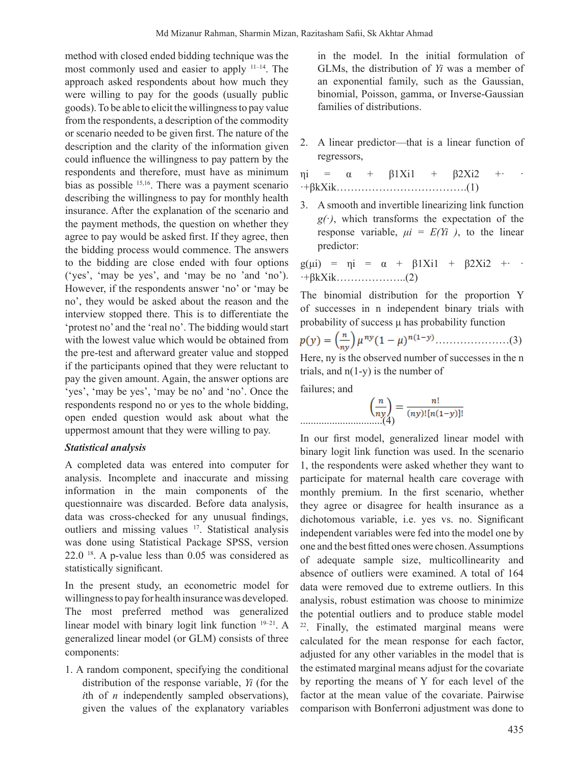method with closed ended bidding technique was the most commonly used and easier to apply 11–14. The approach asked respondents about how much they were willing to pay for the goods (usually public goods).To be able to elicit the willingnessto pay value from the respondents, a description of the commodity or scenario needed to be given first. The nature of the description and the clarity of the information given could influence the willingness to pay pattern by the respondents and therefore, must have as minimum bias as possible 15,16. There was a payment scenario describing the willingness to pay for monthly health insurance. After the explanation of the scenario and the payment methods, the question on whether they agree to pay would be asked first. If they agree, then the bidding process would commence. The answers to the bidding are close ended with four options ('yes', 'may be yes', and 'may be no 'and 'no'). However, if the respondents answer 'no' or 'may be no', they would be asked about the reason and the interview stopped there. This is to differentiate the 'protest no' and the 'real no'. The bidding would start with the lowest value which would be obtained from the pre-test and afterward greater value and stopped if the participants opined that they were reluctant to pay the given amount. Again, the answer options are 'yes', 'may be yes', 'may be no' and 'no'. Once the respondents respond no or yes to the whole bidding, open ended question would ask about what the uppermost amount that they were willing to pay.

#### *Statistical analysis*

A completed data was entered into computer for analysis. Incomplete and inaccurate and missing information in the main components of the questionnaire was discarded. Before data analysis, data was cross-checked for any unusual findings, outliers and missing values <sup>17</sup>. Statistical analysis was done using Statistical Package SPSS, version  $22.0<sup>18</sup>$ . A p-value less than  $0.05$  was considered as statistically significant.

In the present study, an econometric model for willingnessto pay for health insurancewas developed. The most preferred method was generalized linear model with binary logit link function <sup>19–21</sup>. A generalized linear model (or GLM) consists of three components:

1. A random component, specifying the conditional distribution of the response variable, *Yi* (for the *i*th of *n* independently sampled observations), given the values of the explanatory variables in the model. In the initial formulation of GLMs, the distribution of *Yi* was a member of an exponential family, such as the Gaussian, binomial, Poisson, gamma, or Inverse-Gaussian families of distributions.

- 2. A linear predictor—that is a linear function of regressors,
- $\pi i = \alpha + \beta 1Xi1 + \beta 2Xi2 + \cdots$ ·+βkXik……………………………….(1)
- 3. A smooth and invertible linearizing link function  $g(\cdot)$ , which transforms the expectation of the response variable,  $\mu i = E(Y_i)$ , to the linear predictor:

 $g(\mu i) = \mu i = \alpha + \beta 1Xi1 + \beta 2Xi2 + \cdots$  $\cdot$ +βkXik…………………..(2)

The binomial distribution for the proportion Y of successes in n independent binary trials with probability of success μ has probability function

$$
p(y) = \left(\frac{n}{ny}\right) \mu^{ny} (1 - \mu)^{n(1 - y)} \dots \dots \dots \dots \dots \dots \dots \dots (3)
$$

Here, ny is the observed number of successes in the n trials, and  $n(1-y)$  is the number of

failures; and

$$
\left(\frac{n}{ny}\right) = \frac{n!}{(ny)![n(1-y)]!}
$$

In our first model, generalized linear model with binary logit link function was used. In the scenario 1, the respondents were asked whether they want to participate for maternal health care coverage with monthly premium. In the first scenario, whether they agree or disagree for health insurance as a dichotomous variable, i.e. yes vs. no. Significant independent variables were fed into the model one by one and the best fitted ones were chosen.Assumptions of adequate sample size, multicollinearity and absence of outliers were examined. A total of 164 data were removed due to extreme outliers. In this analysis, robust estimation was choose to minimize the potential outliers and to produce stable model <sup>22</sup>. Finally, the estimated marginal means were calculated for the mean response for each factor, adjusted for any other variables in the model that is the estimated marginal means adjust for the covariate by reporting the means of Y for each level of the factor at the mean value of the covariate. Pairwise comparison with Bonferroni adjustment was done to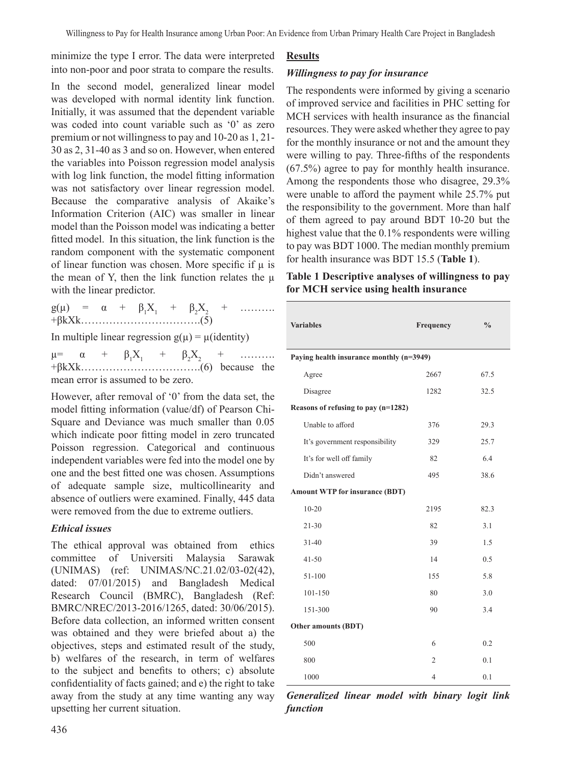minimize the type I error. The data were interpreted into non-poor and poor strata to compare the results.

In the second model, generalized linear model was developed with normal identity link function. Initially, it was assumed that the dependent variable was coded into count variable such as '0' as zero premium or not willingnessto pay and 10-20 as 1, 21- 30 as 2, 31-40 as 3 and so on. However, when entered the variables into Poisson regression model analysis with log link function, the model fitting information was not satisfactory over linear regression model. Because the comparative analysis of Akaike's Information Criterion (AIC) was smaller in linear model than the Poisson model was indicating a better fitted model. In this situation, the link function is the random component with the systematic component of linear function was chosen. More specific if  $\mu$  is the mean of Y, then the link function relates the  $\mu$ with the linear predictor.

 $g(\mu) = \alpha + \beta_1 X_1 + \beta_2 X_2 + \dots$ +βkXk…………………………….(5)

In multiple linear regression  $g(\mu) = \mu$ (identity)

 $\mu = \alpha +$  $X_1$  +  $\beta_2 X_2$  + ……… +βkXk…………………………….(6) because the mean error is assumed to be zero.

However, after removal of '0' from the data set, the model fitting information (value/df) of Pearson Chi-Square and Deviance was much smaller than 0.05 which indicate poor fitting model in zero truncated Poisson regression. Categorical and continuous independent variables were fed into the model one by one and the best fitted one was chosen. Assumptions of adequate sample size, multicollinearity and absence of outliers were examined. Finally, 445 data were removed from the due to extreme outliers.

# *Ethical issues*

The ethical approval was obtained from ethics committee of Universiti Malaysia Sarawak (UNIMAS) (ref: UNIMAS/NC.21.02/03-02(42), dated: 07/01/2015) and Bangladesh Medical Research Council (BMRC), Bangladesh (Ref: BMRC/NREC/2013-2016/1265, dated: 30/06/2015). Before data collection, an informed written consent was obtained and they were briefed about a) the objectives, steps and estimated result of the study, b) welfares of the research, in term of welfares to the subject and benefits to others; c) absolute confidentiality of facts gained; and e) the right to take away from the study at any time wanting any way upsetting her current situation.

## *Willingness to pay for insurance*

The respondents were informed by giving a scenario of improved service and facilities in PHC setting for MCH services with health insurance as the financial resources. They were asked whether they agree to pay for the monthly insurance or not and the amount they were willing to pay. Three-fifths of the respondents (67.5%) agree to pay for monthly health insurance. Among the respondents those who disagree, 29.3% were unable to afford the payment while 25.7% put the responsibility to the government. More than half of them agreed to pay around BDT 10-20 but the highest value that the 0.1% respondents were willing to pay was BDT 1000. The median monthly premium for health insurance was BDT 15.5 (**Table 1**).

|  |  |                                        |  | Table 1 Descriptive analyses of willingness to pay |  |
|--|--|----------------------------------------|--|----------------------------------------------------|--|
|  |  | for MCH service using health insurance |  |                                                    |  |

| <b>Variables</b>                         | Frequency      | $\frac{0}{0}$ |  |  |  |  |  |  |
|------------------------------------------|----------------|---------------|--|--|--|--|--|--|
|                                          |                |               |  |  |  |  |  |  |
| Paying health insurance monthly (n=3949) |                |               |  |  |  |  |  |  |
| Agree                                    | 2667           | 67.5          |  |  |  |  |  |  |
| Disagree                                 | 1282           | 32.5          |  |  |  |  |  |  |
| Reasons of refusing to pay (n=1282)      |                |               |  |  |  |  |  |  |
| Unable to afford                         | 376            | 29.3          |  |  |  |  |  |  |
| It's government responsibility           | 329            | 25.7          |  |  |  |  |  |  |
| It's for well off family                 | 82             | 6.4           |  |  |  |  |  |  |
| Didn't answered                          | 495            | 38.6          |  |  |  |  |  |  |
| <b>Amount WTP for insurance (BDT)</b>    |                |               |  |  |  |  |  |  |
| $10 - 20$                                | 2195           | 82.3          |  |  |  |  |  |  |
| $21 - 30$                                | 82             | 3.1           |  |  |  |  |  |  |
| $31 - 40$                                | 39             | 1.5           |  |  |  |  |  |  |
| $41 - 50$                                | 14             | 0.5           |  |  |  |  |  |  |
| 51-100                                   | 155            | 5.8           |  |  |  |  |  |  |
| 101-150                                  | 80             | 3.0           |  |  |  |  |  |  |
| 151-300                                  | 90             | 3.4           |  |  |  |  |  |  |
| <b>Other amounts (BDT)</b>               |                |               |  |  |  |  |  |  |
| 500                                      | 6              | 0.2           |  |  |  |  |  |  |
| 800                                      | $\overline{2}$ | 0.1           |  |  |  |  |  |  |
| 1000                                     | $\overline{4}$ | 0.1           |  |  |  |  |  |  |

*Generalized linear model with binary logit link function*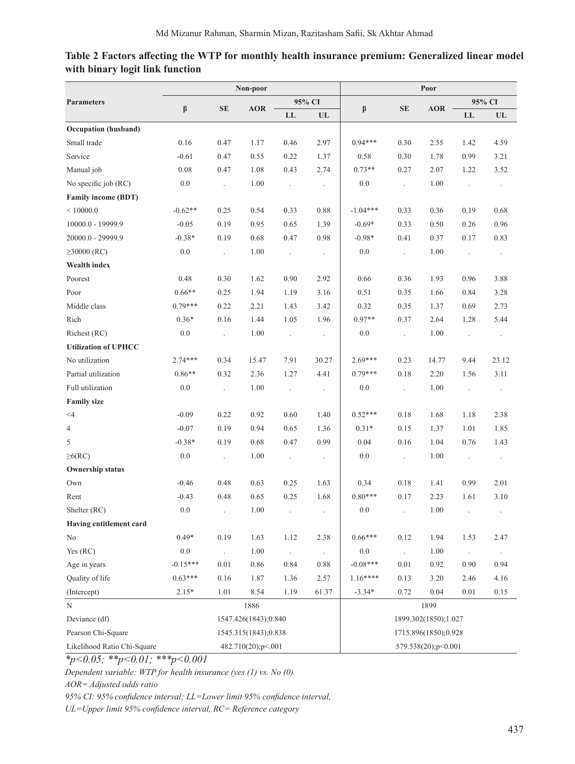|                             |            | Poor                 |                    |                      |                          |                      |                          |            |                          |                      |
|-----------------------------|------------|----------------------|--------------------|----------------------|--------------------------|----------------------|--------------------------|------------|--------------------------|----------------------|
| <b>Parameters</b>           | β          | <b>SE</b>            | <b>AOR</b>         | 95% CI               |                          | β                    | <b>SE</b>                | <b>AOR</b> | 95% CI                   |                      |
|                             |            |                      |                    | LL                   | $\ensuremath{\text{UL}}$ |                      |                          |            | ${\rm LL}$               | UL                   |
| Occupation (husband)        |            |                      |                    |                      |                          |                      |                          |            |                          |                      |
| Small trade                 | 0.16       | 0.47                 | 1.17               | 0.46                 | 2.97                     | $0.94***$            | 0.30                     | 2.55       | 1.42                     | 4.59                 |
| Service                     | $-0.61$    | 0.47                 | 0.55               | 0.22                 | 1.37                     | 0.58                 | 0.30                     | 1.78       | 0.99                     | 3.21                 |
| Manual job                  | 0.08       | 0.47                 | 1.08               | 0.43                 | 2.74                     | $0.73**$             | 0.27                     | 2.07       | 1.22                     | 3.52                 |
| No specific job (RC)        | $0.0\,$    | $\mathcal{L}$        | 1.00               | $\ddot{\phantom{a}}$ | $\cdot$                  | 0.0                  | $\overline{\phantom{a}}$ | 1.00       | $\cdot$                  | $\cdot$              |
| <b>Family income (BDT)</b>  |            |                      |                    |                      |                          |                      |                          |            |                          |                      |
| $\leq 10000.0$              | $-0.62**$  | 0.25                 | 0.54               | 0.33                 | 0.88                     | $-1.04***$           | 0.33                     | 0.36       | 0.19                     | 0.68                 |
| 10000.0 - 19999.9           | $-0.05$    | 0.19                 | 0.95               | 0.65                 | 1.39                     | $-0.69*$             | 0.33                     | 0.50       | 0.26                     | 0.96                 |
| 20000.0 - 29999.9           | $-0.38*$   | 0.19                 | 0.68               | 0.47                 | 0.98                     | $-0.98*$             | 0.41                     | 0.37       | 0.17                     | 0.83                 |
| $\geq 30000$ (RC)           | $0.0\,$    | $\mathbb{Z}^2$       | 1.00               | $\ddot{\phantom{a}}$ | $\cdot$                  | 0.0                  | $\ddot{\phantom{0}}$     | 1.00       | $\overline{\phantom{a}}$ | $\cdot$              |
| <b>Wealth index</b>         |            |                      |                    |                      |                          |                      |                          |            |                          |                      |
| Poorest                     | 0.48       | 0.30                 | 1.62               | 0.90                 | 2.92                     | 0.66                 | 0.36                     | 1.93       | 0.96                     | 3.88                 |
| Poor                        | $0.66**$   | 0.25                 | 1.94               | 1.19                 | 3.16                     | 0.51                 | 0.35                     | 1.66       | 0.84                     | 3.28                 |
| Middle class                | $0.79***$  | 0.22                 | 2.21               | 1.43                 | 3.42                     | 0.32                 | 0.35                     | 1.37       | 0.69                     | 2.73                 |
| Rich                        | $0.36*$    | 0.16                 | 1.44               | 1.05                 | 1.96                     | $0.97**$             | 0.37                     | 2.64       | 1.28                     | 5.44                 |
| Richest (RC)                | $0.0\,$    | $\mathbb{R}^2$       | 1.00               | $\bar{\mathcal{E}}$  | $\cdot$                  | 0.0                  | $\cdot$                  | 1.00       | $\overline{\phantom{a}}$ | $\cdot$              |
| <b>Utilization of UPHCC</b> |            |                      |                    |                      |                          |                      |                          |            |                          |                      |
| No utilization              | $2.74***$  | 0.34                 | 15.47              | 7.91                 | 30.27                    | $2.69***$            | 0.23                     | 14.77      | 9.44                     | 23.12                |
| Partial utilization         | $0.86**$   | 0.32                 | 2.36               | 1.27                 | 4.41                     | $0.79***$            | $0.18\,$                 | 2.20       | 1.56                     | 3.11                 |
| Full utilization            | $0.0\,$    | $\Box$               | 1.00               | $\ddot{\phantom{a}}$ | $\ddot{\phantom{0}}$     | 0.0                  | $\ddot{\phantom{a}}$     | 1.00       | $\ddot{\phantom{0}}$     | $\ddot{\phantom{1}}$ |
| <b>Family size</b>          |            |                      |                    |                      |                          |                      |                          |            |                          |                      |
| $<$ 4                       | $-0.09$    | 0.22                 | 0.92               | 0.60                 | 1.40                     | $0.52***$            | 0.18                     | 1.68       | 1.18                     | 2.38                 |
| $\overline{4}$              | $-0.07$    | 0.19                 | 0.94               | 0.65                 | 1.36                     | $0.31*$              | 0.15                     | 1.37       | 1.01                     | 1.85                 |
| 5                           | $-0.38*$   | 0.19                 | 0.68               | 0.47                 | 0.99                     | $0.04\,$             | 0.16                     | 1.04       | 0.76                     | 1.43                 |
| $\geq 6(RC)$                | 0.0        | $\Box$               | 1.00               | $\cdot$              | $\cdot$                  | 0.0                  | $\Box$                   | 1.00       | $\cdot$                  | $\cdot$              |
| <b>Ownership status</b>     |            |                      |                    |                      |                          |                      |                          |            |                          |                      |
| Own                         | $-0.46$    | 0.48                 | 0.63               | 0.25                 | 1.63                     | 0.34                 | 0.18                     | 1.41       | 0.99                     | 2.01                 |
| Rent                        | $-0.43$    | 0.48                 | 0.65               | 0.25                 | 1.68                     | $0.80***$            | 0.17                     | 2.23       | 1.61                     | 3.10                 |
| Shelter (RC)                | 0.0        |                      | 1.00               | $\epsilon$           |                          | 0.0                  |                          | 1.00       |                          |                      |
| Having entitlement card     |            |                      |                    |                      |                          |                      |                          |            |                          |                      |
| No                          | $0.49*$    | 0.19                 | 1.63               | 1.12                 | 2.38                     | $0.66***$            | 0.12                     | 1.94       | 1.53                     | 2.47                 |
| Yes (RC)                    | 0.0        | $\cdot$              | $1.00\,$           | $\Box$               | $\ddot{\phantom{0}}$     | 0.0                  | $\ddot{\phantom{0}}$     | $1.00\,$   | $\mathbb{Z}^2$           | $\cdot$              |
| Age in years                | $-0.15***$ | 0.01                 | 0.86               | 0.84                 | 0.88                     | $-0.08***$           | 0.01                     | 0.92       | 0.90                     | 0.94                 |
| Quality of life             | $0.63***$  | $0.16\,$             | 1.87               | 1.36                 | 2.57                     | $1.16***$            | 0.13                     | 3.20       | 2.46                     | 4.16                 |
| (Intercept)                 | $2.15*$    | 1.01                 | 8.54               | 1.19                 | 61.37                    | $-3.34*$             | 0.72                     | 0.04       | 0.01                     | 0.15                 |
| $\mathbf N$                 |            | 1886                 |                    |                      |                          | 1899                 |                          |            |                          |                      |
| Deviance (df)               |            | 1547.426(1843);0.840 |                    |                      |                          | 1899.302(1850);1.027 |                          |            |                          |                      |
| Pearson Chi-Square          |            | 1545.315(1843);0.838 |                    |                      |                          | 1715.896(1850);0.928 |                          |            |                          |                      |
| Likelihood Ratio Chi-Square |            |                      | 482.710(20);p<.001 |                      |                          | 579.538(20);p<0.001  |                          |            |                          |                      |

# **Table 2 Factors affecting the WTP for monthly health insurance premium: Generalized linear model with binary logit link function**

*\*p<0.05; \*\*p<0.01; \*\*\*p<0.001*

*Dependent variable: WTP for health insurance (yes (1) vs. No (0).* 

*AOR= Adjusted odds ratio* 

*95% CI: 95% confidence interval; LL=Lower limit 95% confidence interval,* 

*UL=Upper limit 95% confidence interval, RC= Reference category*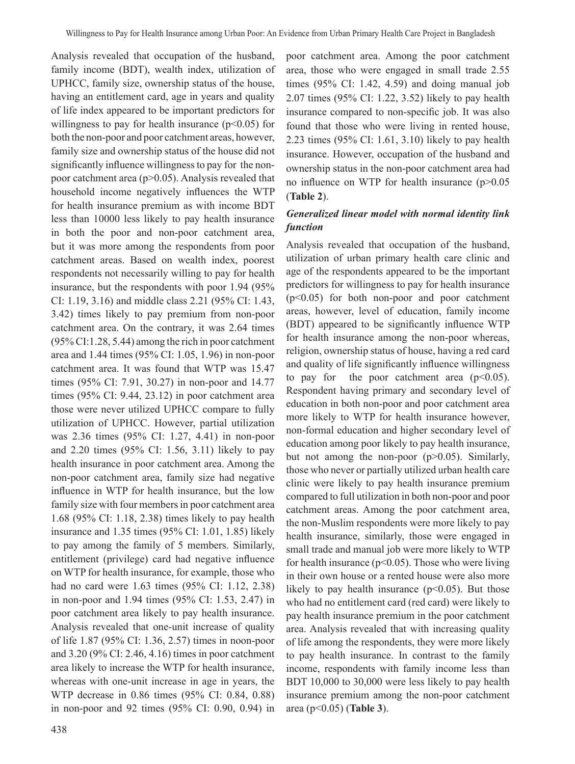Analysis revealed that occupation of the husband, family income (BDT), wealth index, utilization of UPHCC, family size, ownership status of the house, having an entitlement card, age in years and quality of life index appeared to be important predictors for willingness to pay for health insurance  $(p<0.05)$  for both the non-poor and poor catchment areas, however, family size and ownership status of the house did not significantly influence willingness to pay for the nonpoor catchment area  $(p>0.05)$ . Analysis revealed that household income negatively influences the WTP for health insurance premium as with income BDT less than 10000 less likely to pay health insurance in both the poor and non-poor catchment area, but it was more among the respondents from poor catchment areas. Based on wealth index, poorest respondents not necessarily willing to pay for health insurance, but the respondents with poor 1.94 (95% CI: 1.19, 3.16) and middle class 2.21 (95% CI: 1.43, 3.42) times likely to pay premium from non-poor catchment area. On the contrary, it was 2.64 times (95% CI:1.28, 5.44) among the rich in poor catchment area and 1.44 times (95% CI: 1.05, 1.96) in non-poor catchment area. It was found that WTP was 15.47 times (95% CI: 7.91, 30.27) in non-poor and 14.77 times (95% CI: 9.44, 23.12) in poor catchment area those were never utilized UPHCC compare to fully utilization of UPHCC. However, partial utilization was 2.36 times (95% CI: 1.27, 4.41) in non-poor and 2.20 times (95% CI: 1.56, 3.11) likely to pay health insurance in poor catchment area. Among the non-poor catchment area, family size had negative influence in WTP for health insurance, but the low family size with four members in poor catchment area 1.68 (95% CI: 1.18, 2.38) times likely to pay health insurance and 1.35 times (95% CI: 1.01, 1.85) likely to pay among the family of 5 members. Similarly, entitlement (privilege) card had negative influence on WTP for health insurance, for example, those who had no card were 1.63 times (95% CI: 1.12, 2.38) in non-poor and 1.94 times (95% CI: 1.53, 2.47) in poor catchment area likely to pay health insurance. Analysis revealed that one-unit increase of quality of life 1.87 (95% CI: 1.36, 2.57) times in noon-poor and 3.20 (9% CI: 2.46, 4.16) times in poor catchment area likely to increase the WTP for health insurance, whereas with one-unit increase in age in years, the WTP decrease in 0.86 times (95% CI: 0.84, 0.88) in non-poor and 92 times (95% CI: 0.90, 0.94) in poor catchment area. Among the poor catchment area, those who were engaged in small trade 2.55 times (95% CI: 1.42, 4.59) and doing manual job 2.07 times (95% CI: 1.22, 3.52) likely to pay health insurance compared to non-specific job. It was also found that those who were living in rented house, 2.23 times (95% CI: 1.61, 3.10) likely to pay health insurance. However, occupation of the husband and ownership status in the non-poor catchment area had no influence on WTP for health insurance (p>0.05 (**Table 2**).

### *Generalized linear model with normal identity link function*

Analysis revealed that occupation of the husband, utilization of urban primary health care clinic and age of the respondents appeared to be the important predictors for willingness to pay for health insurance  $(p<0.05)$  for both non-poor and poor catchment areas, however, level of education, family income (BDT) appeared to be significantly influence WTP for health insurance among the non-poor whereas, religion, ownership status of house, having a red card and quality of life significantly influence willingness to pay for the poor catchment area  $(p<0.05)$ . Respondent having primary and secondary level of education in both non-poor and poor catchment area more likely to WTP for health insurance however, non-formal education and higher secondary level of education among poor likely to pay health insurance, but not among the non-poor (p>0.05). Similarly, those who never or partially utilized urban health care clinic were likely to pay health insurance premium compared to full utilization in both non-poor and poor catchment areas. Among the poor catchment area, the non-Muslim respondents were more likely to pay health insurance, similarly, those were engaged in small trade and manual job were more likely to WTP for health insurance ( $p<0.05$ ). Those who were living in their own house or a rented house were also more likely to pay health insurance  $(p<0.05)$ . But those who had no entitlement card (red card) were likely to pay health insurance premium in the poor catchment area. Analysis revealed that with increasing quality of life among the respondents, they were more likely to pay health insurance. In contrast to the family income, respondents with family income less than BDT 10,000 to 30,000 were less likely to pay health insurance premium among the non-poor catchment area (p<0.05) (**Table 3**).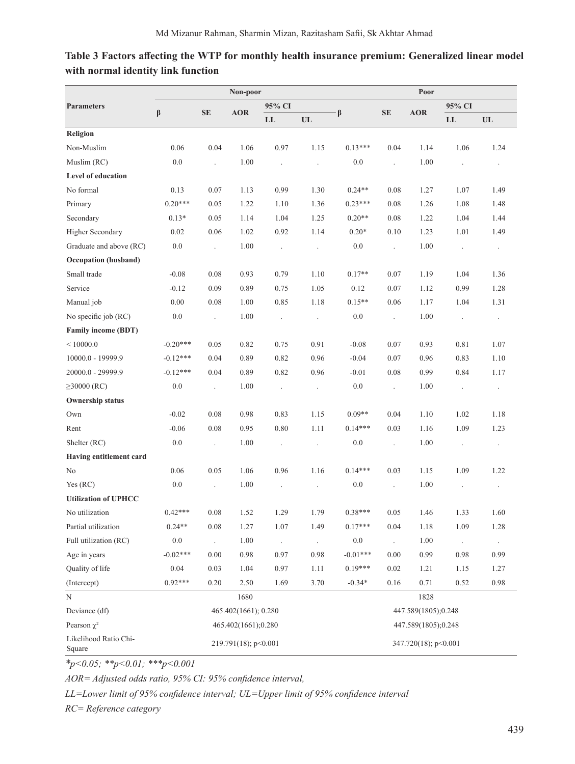|                                         |                      |                      | Non-poor   |                      |                      | Poor                 |                      |            |                      |                      |  |
|-----------------------------------------|----------------------|----------------------|------------|----------------------|----------------------|----------------------|----------------------|------------|----------------------|----------------------|--|
| <b>Parameters</b>                       | $\beta$              | <b>SE</b>            | <b>AOR</b> | 95% CI               |                      |                      |                      |            | 95% CI               |                      |  |
|                                         |                      |                      |            | LL                   | UL                   | $\beta$              | <b>SE</b>            | <b>AOR</b> | LL                   | $UL$                 |  |
| Religion                                |                      |                      |            |                      |                      |                      |                      |            |                      |                      |  |
| Non-Muslim                              | 0.06                 | 0.04                 | 1.06       | 0.97                 | 1.15                 | $0.13***$            | 0.04                 | 1.14       | 1.06                 | 1.24                 |  |
| Muslim (RC)                             | 0.0                  | $\ddot{\phantom{0}}$ | 1.00       | $\ddot{\phantom{a}}$ | $\ddot{\phantom{0}}$ | 0.0                  | $\cdot$              | 1.00       | $\ddot{\phantom{0}}$ | $\ddot{\phantom{0}}$ |  |
| Level of education                      |                      |                      |            |                      |                      |                      |                      |            |                      |                      |  |
| No formal                               | 0.13                 | 0.07                 | 1.13       | 0.99                 | 1.30                 | $0.24**$             | 0.08                 | 1.27       | 1.07                 | 1.49                 |  |
| Primary                                 | $0.20***$            | 0.05                 | 1.22       | 1.10                 | 1.36                 | $0.23***$            | 0.08                 | 1.26       | 1.08                 | 1.48                 |  |
| Secondary                               | $0.13*$              | 0.05                 | 1.14       | 1.04                 | 1.25                 | $0.20**$             | 0.08                 | 1.22       | 1.04                 | 1.44                 |  |
| <b>Higher Secondary</b>                 | 0.02                 | 0.06                 | 1.02       | 0.92                 | 1.14                 | $0.20*$              | 0.10                 | 1.23       | 1.01                 | 1.49                 |  |
| Graduate and above (RC)                 | 0.0                  | $\cdot$              | 1.00       | $\cdot$              |                      | 0.0                  | $\cdot$              | 1.00       |                      | $\ddot{\phantom{0}}$ |  |
| Occupation (husband)                    |                      |                      |            |                      |                      |                      |                      |            |                      |                      |  |
| Small trade                             | $-0.08$              | 0.08                 | 0.93       | 0.79                 | 1.10                 | $0.17**$             | 0.07                 | 1.19       | 1.04                 | 1.36                 |  |
| Service                                 | $-0.12$              | 0.09                 | 0.89       | 0.75                 | 1.05                 | 0.12                 | 0.07                 | 1.12       | 0.99                 | 1.28                 |  |
| Manual job                              | 0.00                 | 0.08                 | 1.00       | 0.85                 | 1.18                 | $0.15**$             | 0.06                 | 1.17       | 1.04                 | 1.31                 |  |
| No specific job (RC)                    | 0.0                  | $\Box$               | 1.00       | $\cdot$              | $\ddot{\phantom{1}}$ | 0.0                  | $\ddot{\phantom{0}}$ | 1.00       | $\ddot{\phantom{0}}$ | $\ddot{\phantom{0}}$ |  |
| <b>Family income (BDT)</b>              |                      |                      |            |                      |                      |                      |                      |            |                      |                      |  |
| ${}<$ 10000.0                           | $-0.20***$           | 0.05                 | 0.82       | 0.75                 | 0.91                 | $-0.08$              | 0.07                 | 0.93       | 0.81                 | 1.07                 |  |
| 10000.0 - 19999.9                       | $-0.12***$           | 0.04                 | 0.89       | 0.82                 | 0.96                 | $-0.04$              | 0.07                 | 0.96       | 0.83                 | 1.10                 |  |
| 20000.0 - 29999.9                       | $-0.12***$           | 0.04                 | 0.89       | 0.82                 | 0.96                 | $-0.01$              | 0.08                 | 0.99       | 0.84                 | 1.17                 |  |
| $\geq 30000$ (RC)                       | 0.0                  | $\cdot$              | 1.00       | $\ddot{\phantom{0}}$ | $\cdot$              | 0.0                  | $\ddot{\phantom{0}}$ | 1.00       | $\ddot{\phantom{0}}$ | $\cdot$              |  |
| <b>Ownership status</b>                 |                      |                      |            |                      |                      |                      |                      |            |                      |                      |  |
| Own                                     | $-0.02$              | 0.08                 | 0.98       | 0.83                 | 1.15                 | $0.09**$             | 0.04                 | 1.10       | 1.02                 | 1.18                 |  |
| Rent                                    | $-0.06$              | 0.08                 | 0.95       | 0.80                 | 1.11                 | $0.14***$            | 0.03                 | 1.16       | 1.09                 | 1.23                 |  |
| Shelter (RC)                            | 0.0                  | $\Box$               | 1.00       | $\cdot$              | $\ddot{\phantom{0}}$ | 0.0                  | $\ddot{\phantom{0}}$ | 1.00       | $\ddot{\phantom{0}}$ | $\cdot$              |  |
| Having entitlement card                 |                      |                      |            |                      |                      |                      |                      |            |                      |                      |  |
| No                                      | 0.06                 | 0.05                 | 1.06       | 0.96                 | 1.16                 | $0.14***$            | 0.03                 | 1.15       | 1.09                 | 1.22                 |  |
| Yes (RC)                                | 0.0                  | $\ddot{\phantom{0}}$ | 1.00       | $\ddot{\phantom{0}}$ | $\cdot$              | 0.0                  | $\ddot{\phantom{0}}$ | 1.00       | $\ddot{\phantom{0}}$ | $\cdot$              |  |
| <b>Utilization of UPHCC</b>             |                      |                      |            |                      |                      |                      |                      |            |                      |                      |  |
| No utilization                          | $0.42***$            | 0.08                 | 1.52       | 1.29                 | 1.79                 | $0.38***$            | 0.05                 | 1.46       | 1.33                 | 1.60                 |  |
| Partial utilization                     | $0.24**$             | $0.08\,$             | 1.27       | $1.07\,$             | 1.49                 | $0.17***$            | 0.04                 | 1.18       | 1.09                 | 1.28                 |  |
| Full utilization (RC)                   | $0.0\,$              |                      | 1.00       | $\cdot$              |                      | $0.0\,$              |                      | 1.00       | $\ddot{\phantom{0}}$ | $\cdot$              |  |
| Age in years                            | $-0.02***$           | 0.00                 | 0.98       | 0.97                 | 0.98                 | $-0.01***$           | 0.00                 | 0.99       | 0.98                 | 0.99                 |  |
| Quality of life                         | 0.04                 | 0.03                 | 1.04       | 0.97                 | 1.11                 | $0.19***$            | 0.02                 | 1.21       | 1.15                 | 1.27                 |  |
| (Intercept)                             | $0.92***$            | 0.20                 | 2.50       | 1.69                 | 3.70                 | $-0.34*$             | 0.16                 | 0.71       | 0.52                 | 0.98                 |  |
| $\mathbf N$                             |                      |                      | 1680       |                      |                      |                      |                      | 1828       |                      |                      |  |
| Deviance (df)                           | 447.589(1805);0.248  |                      |            |                      |                      |                      |                      |            |                      |                      |  |
| Pearson $\chi^2$<br>465.402(1661);0.280 |                      |                      |            |                      |                      | 447.589(1805);0.248  |                      |            |                      |                      |  |
| Likelihood Ratio Chi-<br>Square         | 219.791(18); p<0.001 |                      |            |                      |                      | 347.720(18); p<0.001 |                      |            |                      |                      |  |

# **Table 3 Factors affecting the WTP for monthly health insurance premium: Generalized linear model with normal identity link function**

*\*p<0.05; \*\*p<0.01; \*\*\*p<0.001*

*AOR= Adjusted odds ratio, 95% CI: 95% confidence interval,* 

*LL=Lower limit of 95% confidence interval; UL=Upper limit of 95% confidence interval*

*RC= Reference category*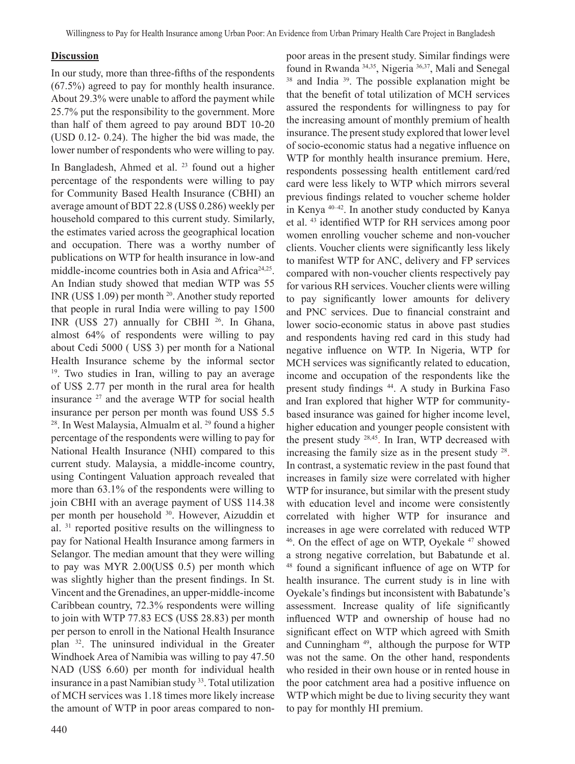#### **Discussion**

In our study, more than three-fifths of the respondents (67.5%) agreed to pay for monthly health insurance. About 29.3% were unable to afford the payment while 25.7% put the responsibility to the government. More than half of them agreed to pay around BDT 10-20 (USD 0.12- 0.24). The higher the bid was made, the lower number of respondents who were willing to pay. In Bangladesh, Ahmed et al. <sup>23</sup> found out a higher percentage of the respondents were willing to pay for Community Based Health Insurance (CBHI) an average amount of BDT 22.8 (US\$ 0.286) weekly per household compared to this current study. Similarly, the estimates varied across the geographical location and occupation. There was a worthy number of publications on WTP for health insurance in low-and middle-income countries both in Asia and Africa<sup>24,25</sup>. An Indian study showed that median WTP was 55 INR (US\$ 1.09) per month <sup>20</sup>. Another study reported that people in rural India were willing to pay 1500 INR (US\$ 27) annually for CBHI <sup>26</sup>. In Ghana, almost 64% of respondents were willing to pay about Cedi 5000 ( US\$ 3) per month for a National Health Insurance scheme by the informal sector <sup>19</sup>. Two studies in Iran, willing to pay an average of US\$ 2.77 per month in the rural area for health insurance  $27$  and the average WTP for social health insurance per person per month was found US\$ 5.5 <sup>28</sup>. In West Malaysia, Almualm et al. <sup>29</sup> found a higher percentage of the respondents were willing to pay for National Health Insurance (NHI) compared to this current study. Malaysia, a middle-income country, using Contingent Valuation approach revealed that more than 63.1% of the respondents were willing to join CBHI with an average payment of US\$ 114.38 per month per household <sup>30</sup>. However, Aizuddin et al. 31 reported positive results on the willingness to pay for National Health Insurance among farmers in Selangor. The median amount that they were willing to pay was MYR 2.00(US\$ 0.5) per month which was slightly higher than the present findings. In St. Vincent and the Grenadines, an upper-middle-income Caribbean country, 72.3% respondents were willing to join with WTP 77.83 EC\$ (US\$ 28.83) per month per person to enroll in the National Health Insurance plan <sup>32</sup>. The uninsured individual in the Greater Windhoek Area of Namibia was willing to pay 47.50 NAD (US\$ 6.60) per month for individual health insurance in a past Namibian study <sup>33</sup>. Total utilization of MCH services was 1.18 times more likely increase the amount of WTP in poor areas compared to non-

poor areas in the present study. Similar findings were found in Rwanda 34,35, Nigeria 36,37, Mali and Senegal <sup>38</sup> and India<sup>39</sup>. The possible explanation might be that the benefit of total utilization of MCH services assured the respondents for willingness to pay for the increasing amount of monthly premium of health insurance. The present study explored that lower level of socio-economic status had a negative influence on WTP for monthly health insurance premium. Here, respondents possessing health entitlement card/red card were less likely to WTP which mirrors several previous findings related to voucher scheme holder in Kenya 40–42. In another study conducted by Kanya et al. 43 identified WTP for RH services among poor women enrolling voucher scheme and non-voucher clients. Voucher clients were significantly less likely to manifest WTP for ANC, delivery and FP services compared with non-voucher clients respectively pay for various RH services. Voucher clients were willing to pay significantly lower amounts for delivery and PNC services. Due to financial constraint and lower socio-economic status in above past studies and respondents having red card in this study had negative influence on WTP. In Nigeria, WTP for MCH services was significantly related to education, income and occupation of the respondents like the present study findings <sup>44</sup>. A study in Burkina Faso and Iran explored that higher WTP for communitybased insurance was gained for higher income level, higher education and younger people consistent with the present study 28,45. In Iran, WTP decreased with increasing the family size as in the present study  $28$ . In contrast, a systematic review in the past found that increases in family size were correlated with higher WTP for insurance, but similar with the present study with education level and income were consistently correlated with higher WTP for insurance and increases in age were correlated with reduced WTP <sup>46</sup>. On the effect of age on WTP, Oyekale <sup>47</sup> showed a strong negative correlation, but Babatunde et al. <sup>48</sup> found a significant influence of age on WTP for health insurance. The current study is in line with Oyekale's findings but inconsistent with Babatunde's assessment. Increase quality of life significantly influenced WTP and ownership of house had no significant effect on WTP which agreed with Smith and Cunningham<sup>49</sup>, although the purpose for WTP was not the same. On the other hand, respondents who resided in their own house or in rented house in the poor catchment area had a positive influence on WTP which might be due to living security they want to pay for monthly HI premium.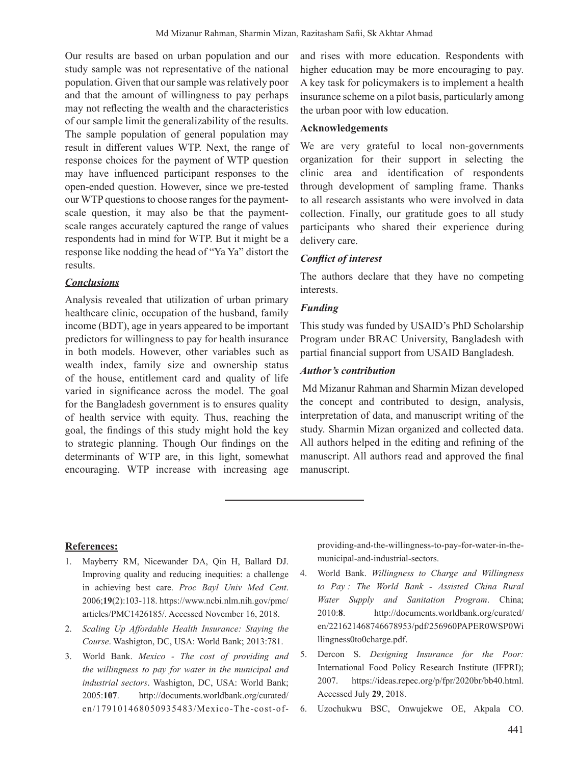Our results are based on urban population and our study sample was not representative of the national population. Given that our sample was relatively poor and that the amount of willingness to pay perhaps may not reflecting the wealth and the characteristics of our sample limit the generalizability of the results. The sample population of general population may result in different values WTP. Next, the range of response choices for the payment of WTP question may have influenced participant responses to the open-ended question. However, since we pre-tested our WTP questions to choose ranges for the paymentscale question, it may also be that the paymentscale ranges accurately captured the range of values respondents had in mind for WTP. But it might be a response like nodding the head of "Ya Ya" distort the results.

#### *Conclusions*

Analysis revealed that utilization of urban primary healthcare clinic, occupation of the husband, family income (BDT), age in years appeared to be important predictors for willingness to pay for health insurance in both models. However, other variables such as wealth index, family size and ownership status of the house, entitlement card and quality of life varied in significance across the model. The goal for the Bangladesh government is to ensures quality of health service with equity. Thus, reaching the goal, the findings of this study might hold the key to strategic planning. Though Our findings on the determinants of WTP are, in this light, somewhat encouraging. WTP increase with increasing age

and rises with more education. Respondents with higher education may be more encouraging to pay. A key task for policymakers is to implement a health insurance scheme on a pilot basis, particularly among the urban poor with low education.

### **Acknowledgements**

We are very grateful to local non-governments organization for their support in selecting the clinic area and identification of respondents through development of sampling frame. Thanks to all research assistants who were involved in data collection. Finally, our gratitude goes to all study participants who shared their experience during delivery care.

#### *Conflict of interest*

The authors declare that they have no competing interests.

### *Funding*

This study was funded by USAID's PhD Scholarship Program under BRAC University, Bangladesh with partial financial support from USAID Bangladesh.

### *Author's contribution*

Md Mizanur Rahman and Sharmin Mizan developed the concept and contributed to design, analysis, interpretation of data, and manuscript writing of the study. Sharmin Mizan organized and collected data. All authors helped in the editing and refining of the manuscript. All authors read and approved the final manuscript.

#### **References:**

- 1. Mayberry RM, Nicewander DA, Qin H, Ballard DJ. Improving quality and reducing inequities: a challenge in achieving best care. *Proc Bayl Univ Med Cent*. 2006;**19**(2):103-118. https://www.ncbi.nlm.nih.gov/pmc/ articles/PMC1426185/. Accessed November 16, 2018.
- 2. *Scaling Up Affordable Health Insurance: Staying the Course*. Washigton, DC, USA: World Bank; 2013:781.
- 3. World Bank. *Mexico The cost of providing and the willingness to pay for water in the municipal and industrial sectors*. Washigton, DC, USA: World Bank; 2005:**107**. http://documents.worldbank.org/curated/ en/179101468050935483/Mexico-The-cost-of-

providing-and-the-willingness-to-pay-for-water-in-themunicipal-and-industrial-sectors.

- 4. World Bank. *Willingness to Charge and Willingness to Pay : The World Bank - Assisted China Rural Water Supply and Sanitation Program*. China; 2010:**8**. http://documents.worldbank.org/curated/ en/221621468746678953/pdf/256960PAPER0WSP0Wi llingness0to0charge.pdf.
- 5. Dercon S. *Designing Insurance for the Poor:* International Food Policy Research Institute (IFPRI); 2007. https://ideas.repec.org/p/fpr/2020br/bb40.html. Accessed July **29**, 2018.
- 6. Uzochukwu BSC, Onwujekwe OE, Akpala CO.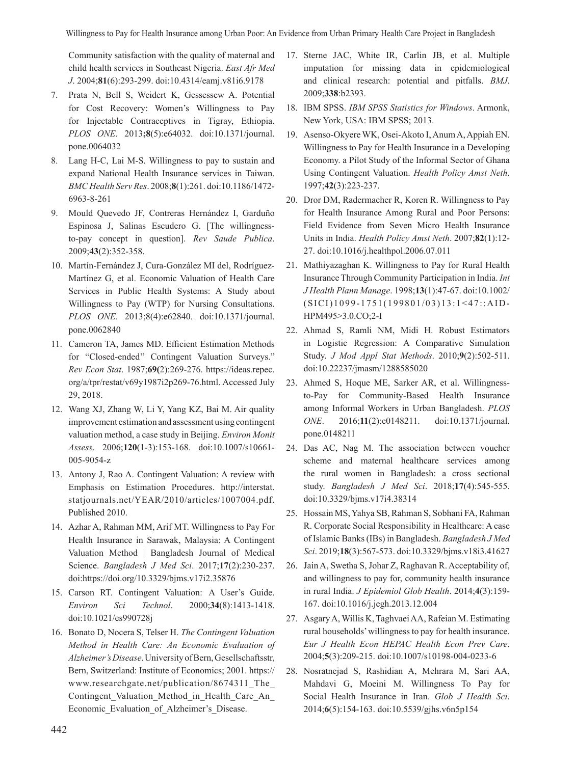Community satisfaction with the quality of maternal and child health services in Southeast Nigeria. *East Afr Med J*. 2004;**81**(6):293-299. doi:10.4314/eamj.v81i6.9178

- 7. Prata N, Bell S, Weidert K, Gessessew A. Potential for Cost Recovery: Women's Willingness to Pay for Injectable Contraceptives in Tigray, Ethiopia. *PLOS ONE*. 2013**;8**(5):e64032. doi:10.1371/journal. pone.0064032
- 8. Lang H-C, Lai M-S. Willingness to pay to sustain and expand National Health Insurance services in Taiwan. *BMC Health Serv Res*. 2008;**8**(1):261. doi:10.1186/1472- 6963-8-261
- 9. Mould Quevedo JF, Contreras Hernández I, Garduño Espinosa J, Salinas Escudero G. [The willingnessto-pay concept in question]. *Rev Saude Publica*. 2009;**43**(2):352-358.
- 10. Martín-Fernández J, Cura-González MI del, Rodríguez-Martínez G, et al. Economic Valuation of Health Care Services in Public Health Systems: A Study about Willingness to Pay (WTP) for Nursing Consultations. *PLOS ONE*. 2013;8(4):e62840. doi:10.1371/journal. pone.0062840
- 11. Cameron TA, James MD. Efficient Estimation Methods for "Closed-ended'' Contingent Valuation Surveys." *Rev Econ Stat*. 1987;**69(**2):269-276. https://ideas.repec. org/a/tpr/restat/v69y1987i2p269-76.html. Accessed July 29, 2018.
- 12. Wang XJ, Zhang W, Li Y, Yang KZ, Bai M. Air quality improvement estimation and assessment using contingent valuation method, a case study in Beijing. *Environ Monit Assess*. 2006;**120**(1-3):153-168. doi:10.1007/s10661- 005-9054-z
- 13. Antony J, Rao A. Contingent Valuation: A review with Emphasis on Estimation Procedures. http://interstat. statjournals.net/YEAR/2010/articles/1007004.pdf. Published 2010.
- 14. Azhar A, Rahman MM, Arif MT. Willingness to Pay For Health Insurance in Sarawak, Malaysia: A Contingent Valuation Method | Bangladesh Journal of Medical Science. *Bangladesh J Med Sci*. 2017;**17**(2):230-237. doi:https://doi.org/10.3329/bjms.v17i2.35876
- 15. Carson RT. Contingent Valuation: A User's Guide. *Environ Sci Technol*. 2000;**34**(8):1413-1418. doi:10.1021/es990728j
- 16. Bonato D, Nocera S, Telser H. *The Contingent Valuation Method in Health Care: An Economic Evaluation of Alzheimer's Disease*. University of Bern, Gesellschaftsstr, Bern, Switzerland: Institute of Economics; 2001. https:// www.researchgate.net/publication/8674311\_The\_ Contingent Valuation Method in Health Care An Economic Evaluation of Alzheimer's Disease.
- 17. Sterne JAC, White IR, Carlin JB, et al. Multiple imputation for missing data in epidemiological and clinical research: potential and pitfalls. *BMJ*. 2009;**338**:b2393.
- 18. IBM SPSS. IBM SPSS Statistics for Windows. Armonk, New York, USA: IBM SPSS; 2013.
- 19. Asenso-Okyere WK, Osei-Akoto I, Anum A, Appiah EN. Willingness to Pay for Health Insurance in a Developing Economy. a Pilot Study of the Informal Sector of Ghana Using Contingent Valuation. *Health Policy Amst Neth*. 1997;**42**(3):223-237.
- 20. Dror DM, Radermacher R, Koren R. Willingness to Pay for Health Insurance Among Rural and Poor Persons: Field Evidence from Seven Micro Health Insurance Units in India. *Health Policy Amst Neth*. 2007;**82**(1):12- 27. doi:10.1016/j.healthpol.2006.07.011
- 21. Mathiyazaghan K. Willingness to Pay for Rural Health Insurance Through Community Participation in India. *Int J Health Plann Manage*. 1998;**13**(1):47-67. doi:10.1002/ (SICI)1099-1751(199801/03)13:1<47::AID-HPM495>3.0.CO;2-I
- 22. Ahmad S, Ramli NM, Midi H. Robust Estimators in Logistic Regression: A Comparative Simulation Study. *J Mod Appl Stat Methods*. 2010;**9**(2):502-511. doi:10.22237/jmasm/1288585020
- 23. Ahmed S, Hoque ME, Sarker AR, et al. Willingnessto-Pay for Community-Based Health Insurance among Informal Workers in Urban Bangladesh. *PLOS ONE*. 2016;**11**(2):e0148211. doi:10.1371/journal. pone.0148211
- 24. Das AC, Nag M. The association between voucher scheme and maternal healthcare services among the rural women in Bangladesh: a cross sectional study. *Bangladesh J Med Sci*. 2018;**17**(4):545-555. doi:10.3329/bjms.v17i4.38314
- 25. Hossain MS, Yahya SB, Rahman S, Sobhani FA, Rahman R. Corporate Social Responsibility in Healthcare: A case of Islamic Banks(IBs) in Bangladesh. *Bangladesh J Med Sci*. 2019;**18**(3):567-573. doi:10.3329/bjms.v18i3.41627
- 26. Jain A, Swetha S, Johar Z, Raghavan R. Acceptability of, and willingness to pay for, community health insurance in rural India. *J Epidemiol Glob Health*. 2014;**4**(3):159- 167. doi:10.1016/j.jegh.2013.12.004
- 27. Asgary A, Willis K, Taghvaei AA, Rafeian M. Estimating rural households'willingness to pay for health insurance. *Eur J Health Econ HEPAC Health Econ Prev Care*. 2004;**5**(3):209-215. doi:10.1007/s10198-004-0233-6
- 28. Nosratnejad S, Rashidian A, Mehrara M, Sari AA, Mahdavi G, Moeini M. Willingness To Pay for Social Health Insurance in Iran. *Glob J Health Sci*. 2014;**6**(5):154-163. doi:10.5539/gjhs.v6n5p154